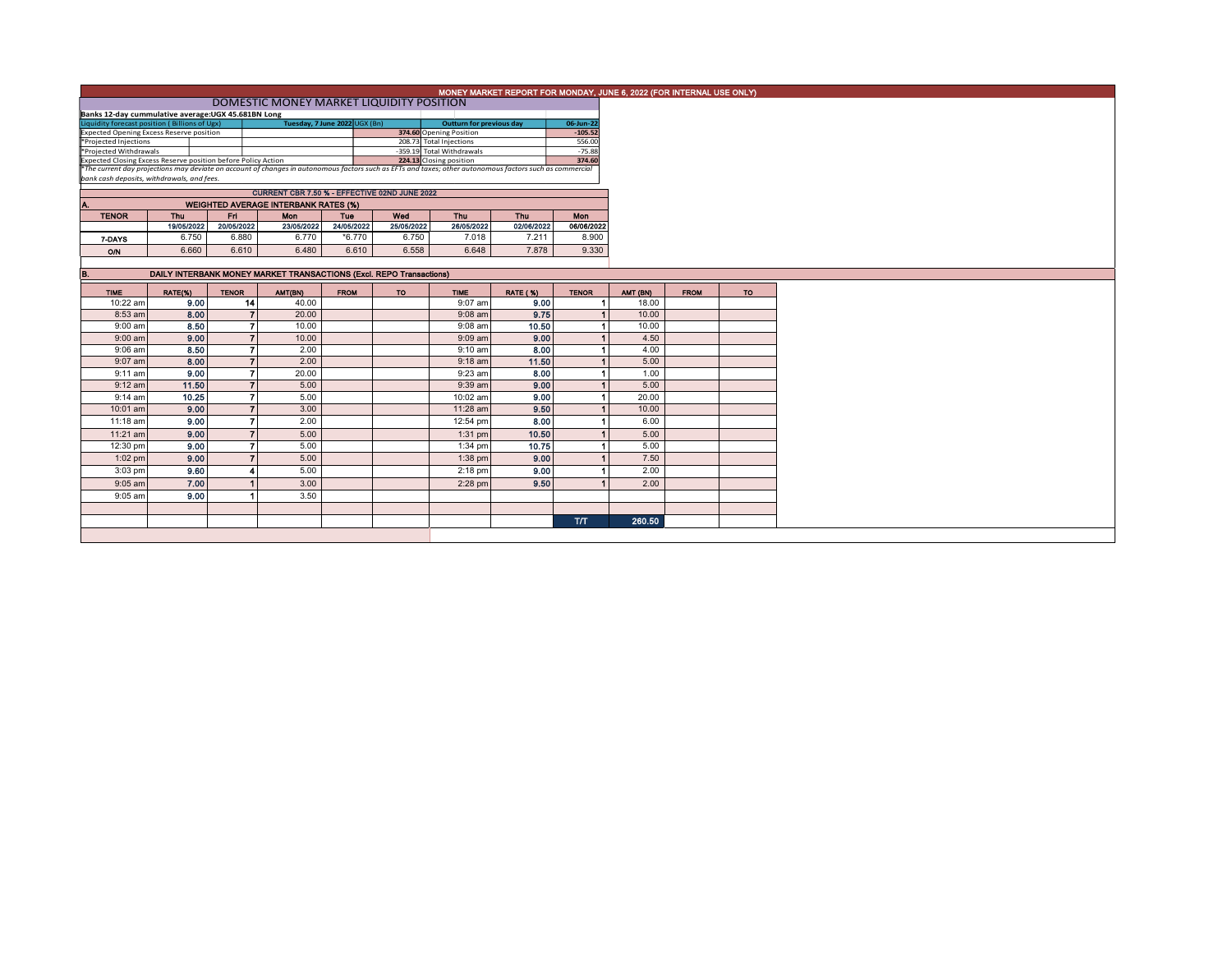|                                                                                                                                                                                                        |                                                                     |              |                |                                             |             |                   |                           | MONEY MARKET REPORT FOR MONDAY, JUNE 6, 2022 (FOR INTERNAL USE ONLY) |              |          |             |           |
|--------------------------------------------------------------------------------------------------------------------------------------------------------------------------------------------------------|---------------------------------------------------------------------|--------------|----------------|---------------------------------------------|-------------|-------------------|---------------------------|----------------------------------------------------------------------|--------------|----------|-------------|-----------|
| DOMESTIC MONEY MARKET LIQUIDITY POSITION                                                                                                                                                               |                                                                     |              |                |                                             |             |                   |                           |                                                                      |              |          |             |           |
| Banks 12-day cummulative average: UGX 45.681BN Long                                                                                                                                                    |                                                                     |              |                |                                             |             |                   |                           |                                                                      |              |          |             |           |
| Liquidity forecast position (Billions of Ugx)<br>Expected Opening Excess Reserve position<br>Tuesday, 7 June 2022 UGX (Bn)<br><b>Outturn for previous day</b><br>06-Jun-22                             |                                                                     |              |                |                                             |             |                   |                           |                                                                      |              |          |             |           |
|                                                                                                                                                                                                        |                                                                     |              |                |                                             |             |                   | 374.60 Opening Position   |                                                                      | $-105.52$    |          |             |           |
| *Projected Injections                                                                                                                                                                                  |                                                                     |              |                |                                             |             |                   | 208.73 Total Injections   |                                                                      | 556.00       |          |             |           |
| *Projected Withdrawals                                                                                                                                                                                 |                                                                     |              |                |                                             |             |                   | -359.19 Total Withdrawals |                                                                      | $-75.88$     |          |             |           |
| Expected Closing Excess Reserve position before Policy Action                                                                                                                                          |                                                                     |              |                |                                             |             |                   | 224.13 Closing position   |                                                                      | 374.60       |          |             |           |
|                                                                                                                                                                                                        |                                                                     |              |                |                                             |             |                   |                           |                                                                      |              |          |             |           |
| *The current day projections may deviate on account of changes in autonomous factors such as EFTs and taxes; other autonomous factors such as commercial<br>bank cash deposits, withdrawals, and fees, |                                                                     |              |                |                                             |             |                   |                           |                                                                      |              |          |             |           |
| CURRENT CBR 7.50 % - EFFECTIVE 02ND JUNE 2022                                                                                                                                                          |                                                                     |              |                |                                             |             |                   |                           |                                                                      |              |          |             |           |
|                                                                                                                                                                                                        |                                                                     |              |                | <b>WEIGHTED AVERAGE INTERBANK RATES (%)</b> |             |                   |                           |                                                                      |              |          |             |           |
| Α.                                                                                                                                                                                                     | Thu                                                                 |              |                |                                             |             |                   |                           |                                                                      |              |          |             |           |
| <b>TENOR</b>                                                                                                                                                                                           |                                                                     | Fn.          |                | Mon                                         | Tue         | Wed<br>25/05/2022 | Thu                       | Thu                                                                  | <b>Mon</b>   |          |             |           |
|                                                                                                                                                                                                        | 19/05/2022                                                          | 20/05/2022   |                | 23/05/2022                                  | 24/05/2022  |                   | 26/05/2022                | 02/06/2022                                                           | 06/06/2022   |          |             |           |
| 7-DAYS                                                                                                                                                                                                 | 6.750                                                               |              | 6.880          | 6.770                                       | $*6.770$    | 6.750             | 7.018                     | 7.211                                                                | 8.900        |          |             |           |
| <b>O/N</b>                                                                                                                                                                                             | 6.660                                                               |              | 6.610          | 6.480                                       | 6.610       | 6.558             | 6.648                     | 7.878                                                                | 9.330        |          |             |           |
|                                                                                                                                                                                                        |                                                                     |              |                |                                             |             |                   |                           |                                                                      |              |          |             |           |
| B.                                                                                                                                                                                                     | DAILY INTERBANK MONEY MARKET TRANSACTIONS (Excl. REPO Transactions) |              |                |                                             |             |                   |                           |                                                                      |              |          |             |           |
|                                                                                                                                                                                                        |                                                                     |              |                |                                             |             |                   |                           |                                                                      |              |          |             |           |
| <b>TIME</b>                                                                                                                                                                                            | RATE(%)                                                             | <b>TENOR</b> |                | AMT(BN)                                     | <b>FROM</b> | <b>TO</b>         | <b>TIME</b>               | <b>RATE (%)</b>                                                      | <b>TENOR</b> | AMT (BN) | <b>FROM</b> | <b>TO</b> |
| 10:22 am                                                                                                                                                                                               | 9.00                                                                |              | 14             | 40.00                                       |             |                   | 9:07 am                   | 9.00                                                                 |              | 18.00    |             |           |
| 8:53 am                                                                                                                                                                                                | 8.00                                                                |              | $\overline{7}$ | 20.00                                       |             |                   | $9:08$ am                 | 9.75                                                                 |              | 10.00    |             |           |
| $9:00$ am                                                                                                                                                                                              | 8.50                                                                |              | $\overline{ }$ | 10.00                                       |             |                   | $9:08$ am                 | 10.50                                                                |              | 10.00    |             |           |
|                                                                                                                                                                                                        |                                                                     |              | $\overline{7}$ |                                             |             |                   |                           |                                                                      |              |          |             |           |
| $9:00$ am                                                                                                                                                                                              | 9.00                                                                |              |                | 10.00                                       |             |                   | $9:09$ am                 | 9.00                                                                 |              | 4.50     |             |           |
| $9:06$ am                                                                                                                                                                                              | 8.50                                                                |              | $\overline{7}$ | 2.00                                        |             |                   | $9:10$ am                 | 8.00                                                                 |              | 4.00     |             |           |
| $9:07$ am                                                                                                                                                                                              | 8.00                                                                |              | $\overline{7}$ | 2.00                                        |             |                   | $9:18$ am                 | 11.50                                                                |              | 5.00     |             |           |
| $9:11$ am                                                                                                                                                                                              | 9,00                                                                |              | $\overline{7}$ | 20.00                                       |             |                   | 9:23 am                   | 8.00                                                                 |              | 1.00     |             |           |
| $9:12$ am                                                                                                                                                                                              | 11.50                                                               |              | $\overline{7}$ | 5.00                                        |             |                   | 9:39 am                   | 9.00                                                                 |              | 5.00     |             |           |
| $9:14$ am                                                                                                                                                                                              | 10.25                                                               |              | $\mathbf{7}$   | 5.00                                        |             |                   | 10:02 am                  | 9.00                                                                 |              | 20.00    |             |           |
|                                                                                                                                                                                                        |                                                                     |              |                |                                             |             |                   |                           |                                                                      |              |          |             |           |
| 10:01 am                                                                                                                                                                                               | 9.00                                                                |              | $\overline{7}$ | 3.00                                        |             |                   | 11:28 am                  | 9.50                                                                 |              | 10.00    |             |           |
| 11:18 am                                                                                                                                                                                               | 9.00                                                                |              |                | 2.00                                        |             |                   | 12:54 pm                  | 8.00                                                                 |              | 6.00     |             |           |
| 11:21 am                                                                                                                                                                                               | 9.00                                                                |              | $\overline{z}$ | 5.00                                        |             |                   | 1:31 pm                   | 10.50                                                                |              | 5.00     |             |           |
| 12:30 pm                                                                                                                                                                                               | 9.00                                                                |              | $\overline{ }$ | 5.00                                        |             |                   | 1:34 pm                   | 10.75                                                                |              | 5.00     |             |           |
|                                                                                                                                                                                                        |                                                                     |              | $\overline{7}$ |                                             |             |                   |                           |                                                                      |              |          |             |           |
| $1:02$ pm                                                                                                                                                                                              | 9.00                                                                |              |                | 5.00                                        |             |                   | 1:38 pm                   | 9.00                                                                 |              | 7.50     |             |           |
| $3:03$ pm                                                                                                                                                                                              | 9.60                                                                |              |                | 5.00                                        |             |                   | $2:18$ pm                 | 9.00                                                                 |              | 2.00     |             |           |
| 9:05 am                                                                                                                                                                                                | 7.00                                                                |              |                | 3.00                                        |             |                   | $2:28$ pm                 | 9.50                                                                 |              | 2.00     |             |           |
| 9:05 am                                                                                                                                                                                                | 9.00                                                                |              |                | 3.50                                        |             |                   |                           |                                                                      |              |          |             |           |
|                                                                                                                                                                                                        |                                                                     |              |                |                                             |             |                   |                           |                                                                      |              |          |             |           |
|                                                                                                                                                                                                        |                                                                     |              |                |                                             |             |                   |                           |                                                                      |              |          |             |           |
|                                                                                                                                                                                                        |                                                                     |              |                |                                             |             |                   |                           |                                                                      | <b>T/T</b>   | 260.50   |             |           |
|                                                                                                                                                                                                        |                                                                     |              |                |                                             |             |                   |                           |                                                                      |              |          |             |           |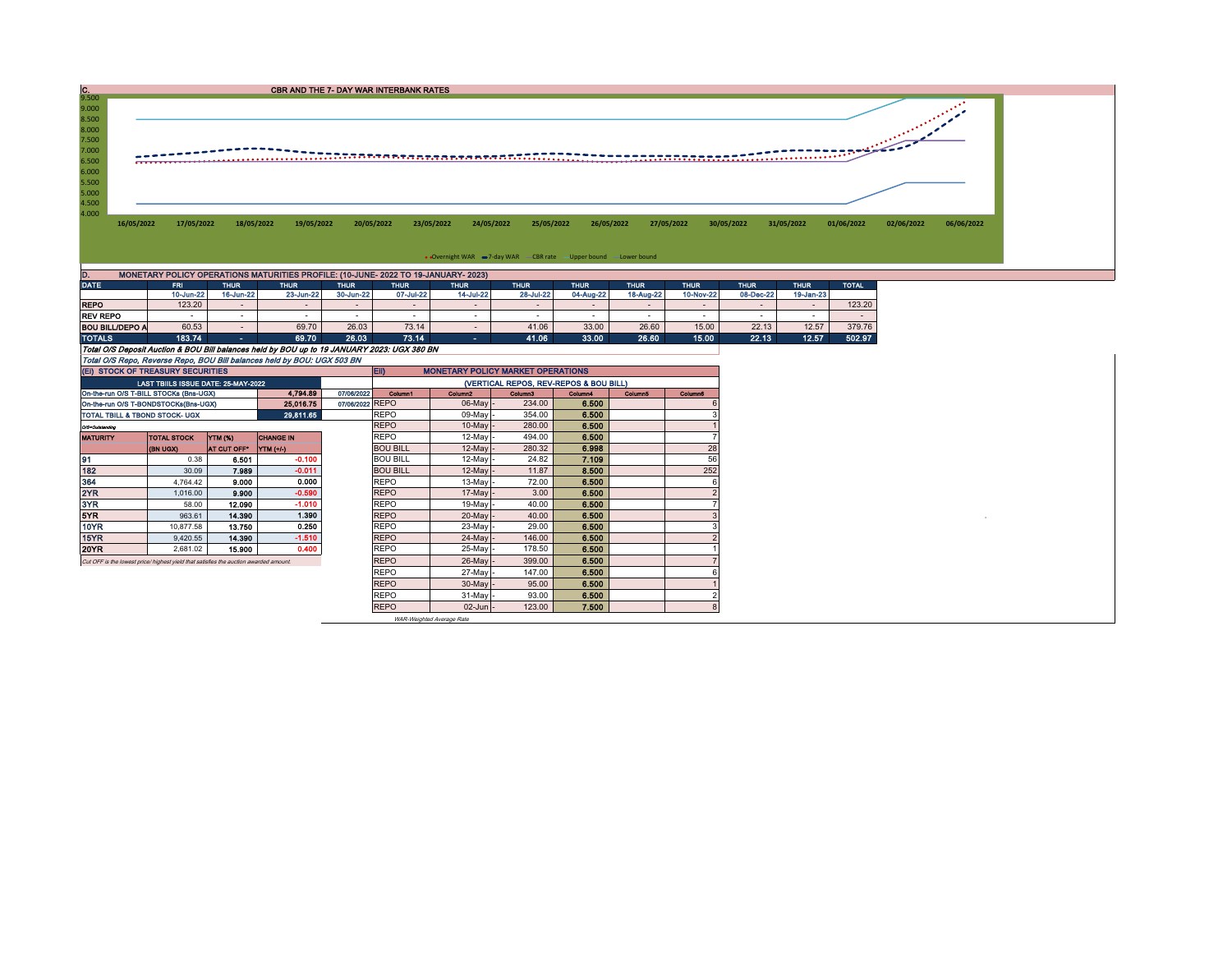| $\frac{C}{9.500}$                                                                      |                                                                                    |             |             | CBR AND THE 7- DAY WAR INTERBANK RATES |                            |                                                                  |                          |             |             |                            |              |            |            |  |
|----------------------------------------------------------------------------------------|------------------------------------------------------------------------------------|-------------|-------------|----------------------------------------|----------------------------|------------------------------------------------------------------|--------------------------|-------------|-------------|----------------------------|--------------|------------|------------|--|
| 9.000<br>8.500<br>8.000<br>7.500<br>7.000<br>6.500<br>6.000<br>5.500<br>5.000<br>4.500 |                                                                                    |             |             |                                        |                            |                                                                  |                          |             |             |                            |              |            |            |  |
| 4.000<br>16/05/2022                                                                    | 17/05/2022                                                                         | 18/05/2022  | 19/05/2022  | 20/05/2022                             | 23/05/2022                 | 24/05/2022                                                       | 26/05/2022<br>25/05/2022 | 27/05/2022  | 30/05/2022  | 31/05/2022                 | 01/06/2022   | 02/06/2022 | 06/06/2022 |  |
|                                                                                        |                                                                                    |             |             |                                        |                            | • Overnight WAR = 7-day WAR CBR rate - Upper bound - Lower bound |                          |             |             |                            |              |            |            |  |
|                                                                                        | MONETARY POLICY OPERATIONS MATURITIES PROFILE: (10-JUNE- 2022 TO 19-JANUARY- 2023) |             |             |                                        |                            |                                                                  |                          |             |             |                            |              |            |            |  |
| <b>DATE</b>                                                                            | <b>FRI</b>                                                                         | <b>THUR</b> | <b>THUR</b> | <b>THUR</b>                            | <b>THUR</b><br><b>THUR</b> | <b>THUR</b>                                                      | <b>THUR</b>              | <b>THUR</b> | <b>THUR</b> | <b>THUR</b><br><b>THUR</b> | <b>TOTAL</b> |            |            |  |
|                                                                                        | 10-Jun-22                                                                          | 16-Jun-22   | 23-Jun-22   | 30-Jun-22                              | 07-Jul-22                  | 28-Jul-22<br>14-Jul-22                                           | 04-Aug-22                | 18-Aug-22   | 10-Nov-22   | 08-Dec-22<br>19-Jan-23     |              |            |            |  |

|                                                                                             | 10-Jun-22 | 16-Jun-22 | 23-Jun-22 | 30-Jun-22 | 07-Jul-22 | 14-Jul-22 | 28-Jul-22 | 04-Aug-22 | 18-Aug-22 | 10-Nov-22 | 08-Dec-22 | 19-Jan-23 |        |
|---------------------------------------------------------------------------------------------|-----------|-----------|-----------|-----------|-----------|-----------|-----------|-----------|-----------|-----------|-----------|-----------|--------|
| <b>REPO</b>                                                                                 | 123.20    |           |           |           |           |           |           |           |           | -         |           |           | 123.20 |
| <b>REV REPO</b>                                                                             |           |           |           |           |           |           |           |           |           |           |           |           |        |
| <b>BOU BILL/DEPO A</b>                                                                      | 60.53     |           | 69.70     | 26.03     | 73.14     |           | 41.06     | 33.00     | 26.60     | 15.00     | 22.13     | 12.57     | 379.76 |
| <b>TOTALS</b>                                                                               | 183.74    |           | 69.70     | 26.03     | 73.14     |           | 41.06     | 33.00     | 26.60     | 15.00     | 22.13     | 12.57     | 502.97 |
| Total O/S Deposit Auction & BOU Bill balances held by BOU up to 19 JANUARY 2023: UGX 380 BN |           |           |           |           |           |           |           |           |           |           |           |           |        |
| Total O/S Repo, Reverse Repo, BOU Bill balances held by BOU: UGX 503 BN                     |           |           |           |           |           |           |           |           |           |           |           |           |        |

|                 | (EI) STOCK OF TREASURY SECURITIES                                                     |             |                  | EII)<br><b>MONETARY POLICY MARKET OPERATIONS</b> |                     |         |         |         |                |  |  |  |  |  |
|-----------------|---------------------------------------------------------------------------------------|-------------|------------------|--------------------------------------------------|---------------------|---------|---------|---------|----------------|--|--|--|--|--|
|                 | LAST TBIILS ISSUE DATE: 25-MAY-2022                                                   |             |                  | (VERTICAL REPOS, REV-REPOS & BOU BILL)           |                     |         |         |         |                |  |  |  |  |  |
|                 | On-the-run O/S T-BILL STOCKs (Bns-UGX)                                                |             | 4.794.89         | 07/06/2022<br>Column1                            | Column <sub>2</sub> | Column3 | Column4 | Column5 | <b>Column6</b> |  |  |  |  |  |
|                 | On-the-run O/S T-BONDSTOCKs(Bns-UGX)                                                  |             | 25,016.75        | 07/06/2022 REPO                                  | 06-May -            | 234.00  | 6.500   |         |                |  |  |  |  |  |
|                 | TOTAL TBILL & TBOND STOCK- UGX                                                        |             | 29,811.65        | <b>REPO</b>                                      | 09-May -            | 354.00  | 6.500   |         |                |  |  |  |  |  |
| O/S=Outstanding |                                                                                       |             |                  | <b>REPO</b>                                      | $10$ -May $-$       | 280.00  | 6.500   |         |                |  |  |  |  |  |
| <b>MATURITY</b> | <b>TOTAL STOCK</b>                                                                    | YTM (%)     | <b>CHANGE IN</b> | <b>REPO</b>                                      | $12$ -May -         | 494.00  | 6.500   |         |                |  |  |  |  |  |
|                 | <b>(BN UGX)</b>                                                                       | AT CUT OFF* | YTM (+/-)        | <b>BOU BILL</b>                                  | $12$ -May -         | 280.32  | 6,998   |         | 28             |  |  |  |  |  |
| 91              | 0.38                                                                                  | 6.501       | $-0.100$         | <b>BOU BILL</b>                                  | $12$ -May -         | 24.82   | 7.109   |         | 56             |  |  |  |  |  |
| 182             | 30.09                                                                                 | 7.989       | $-0.011$         | <b>BOU BILL</b>                                  | $12$ -May $-$       | 11.87   | 8.500   |         | 252            |  |  |  |  |  |
| 364             | 4.764.42                                                                              | 9.000       | 0.000            | <b>REPO</b>                                      | $13-May$ -          | 72.00   | 6.500   |         |                |  |  |  |  |  |
| 2YR             | 1,016.00                                                                              | 9.900       | $-0.590$         | <b>REPO</b>                                      | $17$ -May -         | 3.00    | 6.500   |         |                |  |  |  |  |  |
| 3YR             | 58.00                                                                                 | 12.090      | $-1.010$         | <b>REPO</b>                                      | $19$ -Mav $\sim$    | 40.00   | 6,500   |         |                |  |  |  |  |  |
| 5YR             | 963.61                                                                                | 14.390      | 1.390            | <b>REPO</b>                                      | $20$ -May $-$       | 40.00   | 6.500   |         |                |  |  |  |  |  |
| 10YR            | 10.877.58                                                                             | 13.750      | 0.250            | <b>REPO</b>                                      | 23-May -            | 29.00   | 6.500   |         |                |  |  |  |  |  |
| 15YR            | 9,420.55                                                                              | 14.390      | $-1.510$         | <b>REPO</b>                                      | $24$ -May -         | 146.00  | 6.500   |         |                |  |  |  |  |  |
| <b>20YR</b>     | 2,681.02                                                                              | 15.900      | 0.400            | <b>REPO</b>                                      | 25-May -            | 178.50  | 6.500   |         |                |  |  |  |  |  |
|                 | Cut OFF is the lowest price/ highest vield that satisfies the auction awarded amount. |             |                  | <b>REPO</b>                                      | $26$ -May $-$       | 399.00  | 6.500   |         |                |  |  |  |  |  |
|                 |                                                                                       |             |                  | <b>REPO</b>                                      | 27-May -            | 147.00  | 6.500   |         |                |  |  |  |  |  |
|                 |                                                                                       |             |                  | <b>REPO</b>                                      | $30$ -May -         | 95.00   | 6.500   |         |                |  |  |  |  |  |
|                 |                                                                                       |             |                  | <b>REPO</b>                                      | $31$ -May -         | 93.00   | 6.500   |         |                |  |  |  |  |  |
|                 |                                                                                       |             |                  | <b>REPO</b>                                      | $02$ -Jun $-$       | 123.00  | 7.500   |         |                |  |  |  |  |  |

WAR-Weighted Average Rate